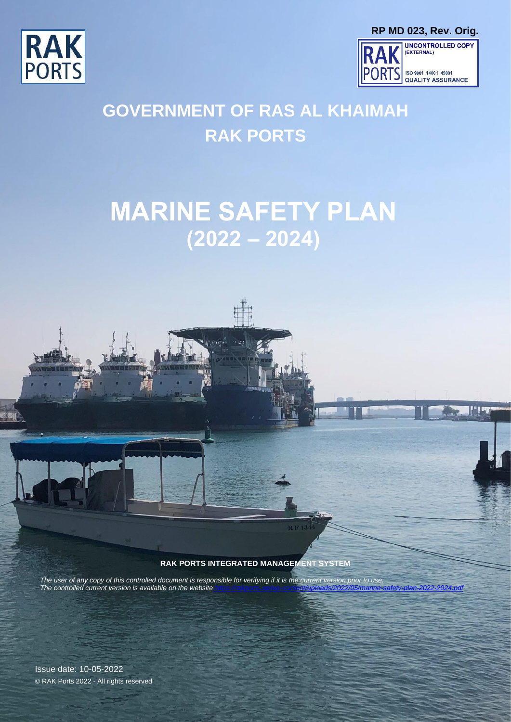



Page 1

l!'!"



# **GOVERNMENT OF RAS AL KHAIMAH RAK PORTS**

# **MARINE SAFETY PLAN (2022 – 2024)**



 $RF13$ 

RAK PORTS INTEGRATED MANAGEMENT SYSTEM

0-2 years 3-5 years

© RAK Ports 2022 - All rights reserved Retention @ Office @ Archives

*The user of any copy of this controlled document is responsible for verifying if it is the current version prior to use. The controlled current version is available on the website* 

Issue date: 10-05-2022 © RAK Ports 2022 - All rights reserved

Issue Date: 10-05-2022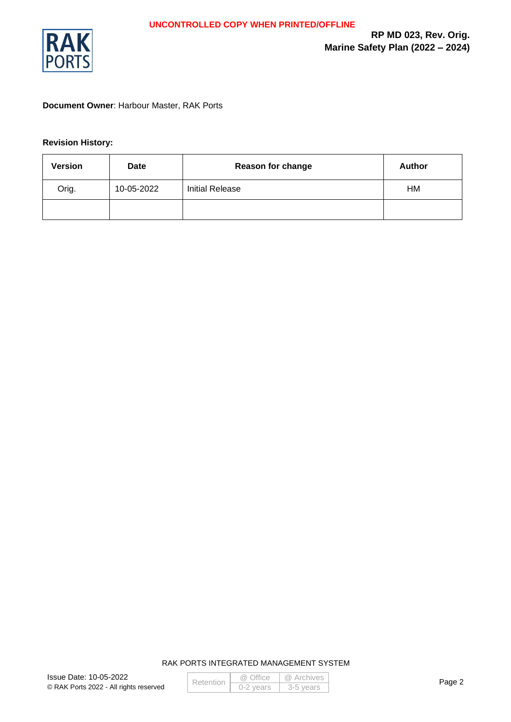

#### **Document Owner**: Harbour Master, RAK Ports

#### **Revision History:**

| <b>Version</b> | Date       | <b>Reason for change</b> | <b>Author</b> |
|----------------|------------|--------------------------|---------------|
| Orig.          | 10-05-2022 | <b>Initial Release</b>   | HM            |
|                |            |                          |               |

|  | Retention | @ Office    | @ Archives |
|--|-----------|-------------|------------|
|  |           | $0-2$ vears | -3-5 vears |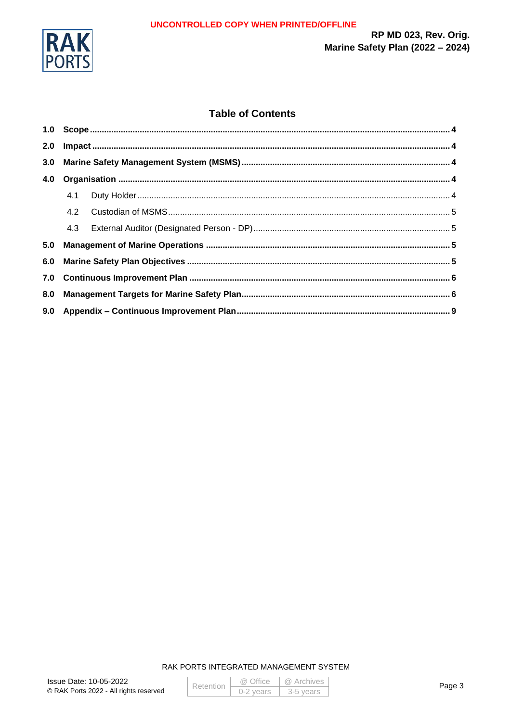

RP MD 023, Rev. Orig. Marine Safety Plan (2022 - 2024)

#### **Table of Contents**

| 2.0 |     |  |  |
|-----|-----|--|--|
| 3.0 |     |  |  |
| 4.0 |     |  |  |
|     | 4.1 |  |  |
|     | 4.2 |  |  |
|     |     |  |  |
| 5.0 |     |  |  |
| 6.0 |     |  |  |
| 7.0 |     |  |  |
| 8.0 |     |  |  |
|     |     |  |  |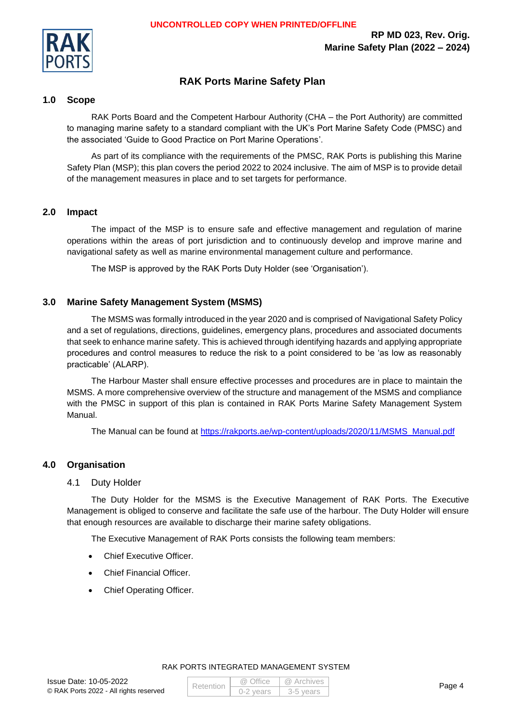

#### **RAK Ports Marine Safety Plan**

#### <span id="page-3-0"></span>**1.0 Scope**

RAK Ports Board and the Competent Harbour Authority (CHA – the Port Authority) are committed to managing marine safety to a standard compliant with the UK's Port Marine Safety Code (PMSC) and the associated 'Guide to Good Practice on Port Marine Operations'.

As part of its compliance with the requirements of the PMSC, RAK Ports is publishing this Marine Safety Plan (MSP); this plan covers the period 2022 to 2024 inclusive. The aim of MSP is to provide detail of the management measures in place and to set targets for performance.

#### <span id="page-3-1"></span>**2.0 Impact**

The impact of the MSP is to ensure safe and effective management and regulation of marine operations within the areas of port jurisdiction and to continuously develop and improve marine and navigational safety as well as marine environmental management culture and performance.

The MSP is approved by the RAK Ports Duty Holder (see 'Organisation').

#### <span id="page-3-2"></span>**3.0 Marine Safety Management System (MSMS)**

The MSMS was formally introduced in the year 2020 and is comprised of Navigational Safety Policy and a set of regulations, directions, guidelines, emergency plans, procedures and associated documents that seek to enhance marine safety. This is achieved through identifying hazards and applying appropriate procedures and control measures to reduce the risk to a point considered to be 'as low as reasonably practicable' (ALARP).

The Harbour Master shall ensure effective processes and procedures are in place to maintain the MSMS. A more comprehensive overview of the structure and management of the MSMS and compliance with the PMSC in support of this plan is contained in RAK Ports Marine Safety Management System Manual.

The Manual can be found at [https://rakports.ae/wp-content/uploads/2020/11/MSMS\\_Manual.pdf](https://rakports.ae/wp-content/uploads/2020/11/MSMS_Manual.pdf)

#### <span id="page-3-4"></span><span id="page-3-3"></span>**4.0 Organisation**

#### 4.1 Duty Holder

The Duty Holder for the MSMS is the Executive Management of RAK Ports. The Executive Management is obliged to conserve and facilitate the safe use of the harbour. The Duty Holder will ensure that enough resources are available to discharge their marine safety obligations.

The Executive Management of RAK Ports consists the following team members:

- Chief Executive Officer.
- Chief Financial Officer.
- Chief Operating Officer.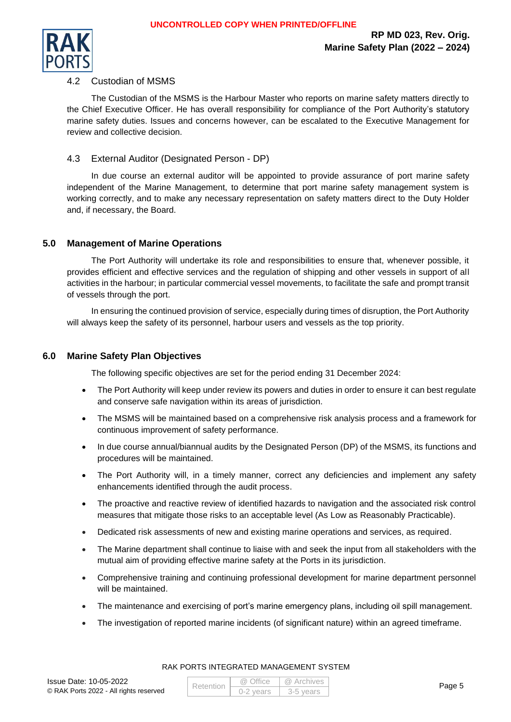

#### <span id="page-4-0"></span>4.2 Custodian of MSMS

The Custodian of the MSMS is the Harbour Master who reports on marine safety matters directly to the Chief Executive Officer. He has overall responsibility for compliance of the Port Authority's statutory marine safety duties. Issues and concerns however, can be escalated to the Executive Management for review and collective decision.

#### <span id="page-4-1"></span>4.3 External Auditor (Designated Person - DP)

In due course an external auditor will be appointed to provide assurance of port marine safety independent of the Marine Management, to determine that port marine safety management system is working correctly, and to make any necessary representation on safety matters direct to the Duty Holder and, if necessary, the Board.

#### <span id="page-4-2"></span>**5.0 Management of Marine Operations**

The Port Authority will undertake its role and responsibilities to ensure that, whenever possible, it provides efficient and effective services and the regulation of shipping and other vessels in support of all activities in the harbour; in particular commercial vessel movements, to facilitate the safe and prompt transit of vessels through the port.

In ensuring the continued provision of service, especially during times of disruption, the Port Authority will always keep the safety of its personnel, harbour users and vessels as the top priority.

#### <span id="page-4-3"></span>**6.0 Marine Safety Plan Objectives**

The following specific objectives are set for the period ending 31 December 2024:

- The Port Authority will keep under review its powers and duties in order to ensure it can best regulate and conserve safe navigation within its areas of jurisdiction.
- The MSMS will be maintained based on a comprehensive risk analysis process and a framework for continuous improvement of safety performance.
- In due course annual/biannual audits by the Designated Person (DP) of the MSMS, its functions and procedures will be maintained.
- The Port Authority will, in a timely manner, correct any deficiencies and implement any safety enhancements identified through the audit process.
- The proactive and reactive review of identified hazards to navigation and the associated risk control measures that mitigate those risks to an acceptable level (As Low as Reasonably Practicable).
- Dedicated risk assessments of new and existing marine operations and services, as required.
- The Marine department shall continue to liaise with and seek the input from all stakeholders with the mutual aim of providing effective marine safety at the Ports in its jurisdiction.
- Comprehensive training and continuing professional development for marine department personnel will be maintained.
- The maintenance and exercising of port's marine emergency plans, including oil spill management.
- The investigation of reported marine incidents (of significant nature) within an agreed timeframe.

#### Issue Date: 10-05-2022 © RAK Ports 2022 - All rights reserved

| Retention | @ Office    | @ Archives |
|-----------|-------------|------------|
|           | $0-2$ vears | 3-5 vears  |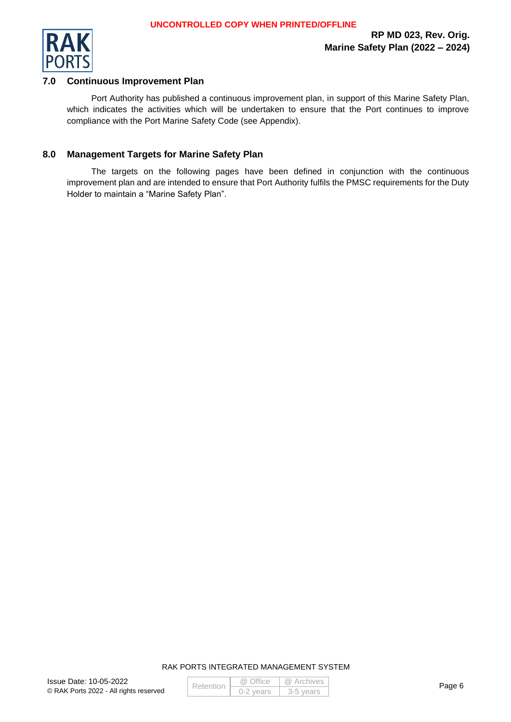

#### <span id="page-5-0"></span>**7.0 Continuous Improvement Plan**

Port Authority has published a continuous improvement plan, in support of this Marine Safety Plan, which indicates the activities which will be undertaken to ensure that the Port continues to improve compliance with the Port Marine Safety Code (see Appendix).

#### <span id="page-5-1"></span>**8.0 Management Targets for Marine Safety Plan**

The targets on the following pages have been defined in conjunction with the continuous improvement plan and are intended to ensure that Port Authority fulfils the PMSC requirements for the Duty Holder to maintain a "Marine Safety Plan".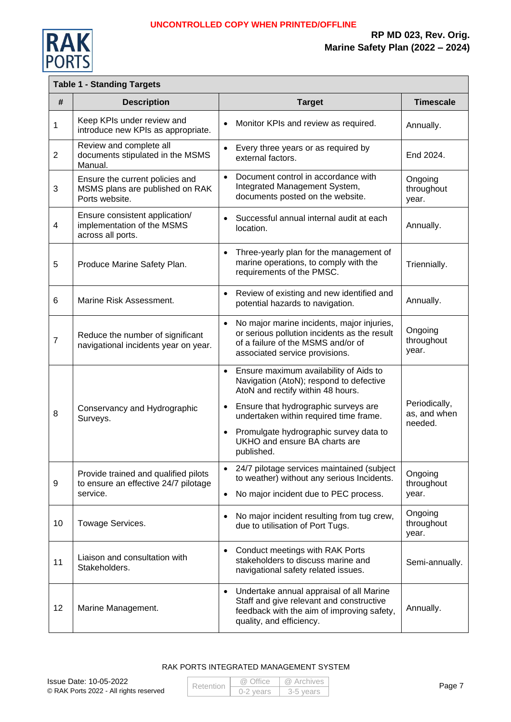

 **RP MD 023, Rev. Orig. Marine Safety Plan (2022 – 2024)**

## **Table 1 - Standing Targets**

| #              | <b>Description</b>                                                                       | <b>Target</b>                                                                                                                                                                                                                                                                                                                            | <b>Timescale</b>                         |
|----------------|------------------------------------------------------------------------------------------|------------------------------------------------------------------------------------------------------------------------------------------------------------------------------------------------------------------------------------------------------------------------------------------------------------------------------------------|------------------------------------------|
| $\mathbf{1}$   | Keep KPIs under review and<br>introduce new KPIs as appropriate.                         | Monitor KPIs and review as required.<br>$\bullet$                                                                                                                                                                                                                                                                                        | Annually.                                |
| $\overline{2}$ | Review and complete all<br>documents stipulated in the MSMS<br>Manual.                   | Every three years or as required by<br>$\bullet$<br>external factors.                                                                                                                                                                                                                                                                    | End 2024.                                |
| 3              | Ensure the current policies and<br>MSMS plans are published on RAK<br>Ports website.     | Document control in accordance with<br>$\bullet$<br>Integrated Management System,<br>documents posted on the website.                                                                                                                                                                                                                    | Ongoing<br>throughout<br>year.           |
| $\overline{4}$ | Ensure consistent application/<br>implementation of the MSMS<br>across all ports.        | Successful annual internal audit at each<br>$\bullet$<br>location.                                                                                                                                                                                                                                                                       | Annually.                                |
| 5              | Produce Marine Safety Plan.                                                              | Three-yearly plan for the management of<br>marine operations, to comply with the<br>requirements of the PMSC.                                                                                                                                                                                                                            | Triennially.                             |
| 6              | Marine Risk Assessment.                                                                  | Review of existing and new identified and<br>$\bullet$<br>potential hazards to navigation.                                                                                                                                                                                                                                               | Annually.                                |
| $\overline{7}$ | Reduce the number of significant<br>navigational incidents year on year.                 | No major marine incidents, major injuries,<br>$\bullet$<br>or serious pollution incidents as the result<br>of a failure of the MSMS and/or of<br>associated service provisions.                                                                                                                                                          | Ongoing<br>throughout<br>year.           |
| 8              | Conservancy and Hydrographic<br>Surveys.                                                 | Ensure maximum availability of Aids to<br>$\bullet$<br>Navigation (AtoN); respond to defective<br>AtoN and rectify within 48 hours.<br>Ensure that hydrographic surveys are<br>$\bullet$<br>undertaken within required time frame.<br>Promulgate hydrographic survey data to<br>$\bullet$<br>UKHO and ensure BA charts are<br>published. | Periodically,<br>as, and when<br>needed. |
| 9              | Provide trained and qualified pilots<br>to ensure an effective 24/7 pilotage<br>service. | 24/7 pilotage services maintained (subject<br>to weather) without any serious Incidents.<br>No major incident due to PEC process.<br>$\bullet$                                                                                                                                                                                           | Ongoing<br>throughout<br>year.           |
| 10             | Towage Services.                                                                         | No major incident resulting from tug crew,<br>due to utilisation of Port Tugs.                                                                                                                                                                                                                                                           | Ongoing<br>throughout<br>year.           |
| 11             | Liaison and consultation with<br>Stakeholders.                                           | Conduct meetings with RAK Ports<br>$\bullet$<br>stakeholders to discuss marine and<br>navigational safety related issues.                                                                                                                                                                                                                | Semi-annually.                           |
| 12             | Marine Management.                                                                       | Undertake annual appraisal of all Marine<br>$\bullet$<br>Staff and give relevant and constructive<br>feedback with the aim of improving safety,<br>quality, and efficiency.                                                                                                                                                              | Annually.                                |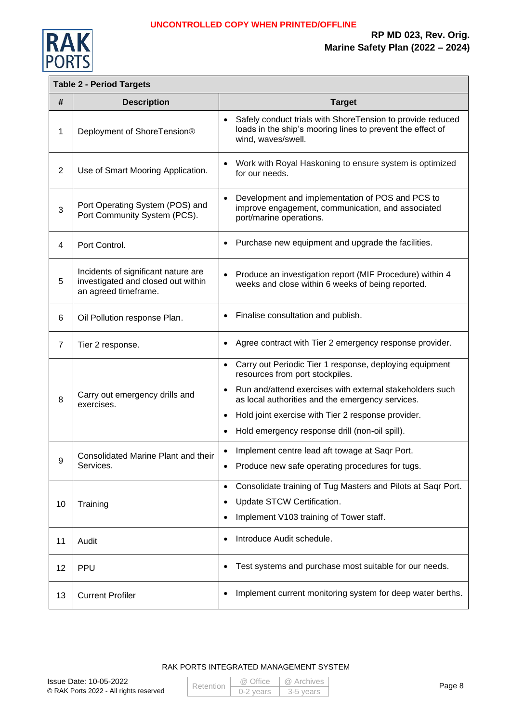

#### **Table 2 - Period Targets**

| #              | <b>Description</b>                                                                                | <b>Target</b>                                                                                                                                                                                                                                                                                                                                                          |
|----------------|---------------------------------------------------------------------------------------------------|------------------------------------------------------------------------------------------------------------------------------------------------------------------------------------------------------------------------------------------------------------------------------------------------------------------------------------------------------------------------|
| 1              | Deployment of ShoreTension®                                                                       | Safely conduct trials with ShoreTension to provide reduced<br>$\bullet$<br>loads in the ship's mooring lines to prevent the effect of<br>wind, waves/swell.                                                                                                                                                                                                            |
| $\overline{2}$ | Use of Smart Mooring Application.                                                                 | Work with Royal Haskoning to ensure system is optimized<br>for our needs.                                                                                                                                                                                                                                                                                              |
| 3              | Port Operating System (POS) and<br>Port Community System (PCS).                                   | Development and implementation of POS and PCS to<br>$\bullet$<br>improve engagement, communication, and associated<br>port/marine operations.                                                                                                                                                                                                                          |
| 4              | Port Control.                                                                                     | Purchase new equipment and upgrade the facilities.<br>$\bullet$                                                                                                                                                                                                                                                                                                        |
| 5              | Incidents of significant nature are<br>investigated and closed out within<br>an agreed timeframe. | Produce an investigation report (MIF Procedure) within 4<br>$\bullet$<br>weeks and close within 6 weeks of being reported.                                                                                                                                                                                                                                             |
| 6              | Oil Pollution response Plan.                                                                      | Finalise consultation and publish.                                                                                                                                                                                                                                                                                                                                     |
| $\overline{7}$ | Tier 2 response.                                                                                  | Agree contract with Tier 2 emergency response provider.<br>$\bullet$                                                                                                                                                                                                                                                                                                   |
| 8              | Carry out emergency drills and<br>exercises.                                                      | Carry out Periodic Tier 1 response, deploying equipment<br>$\bullet$<br>resources from port stockpiles.<br>Run and/attend exercises with external stakeholders such<br>$\bullet$<br>as local authorities and the emergency services.<br>Hold joint exercise with Tier 2 response provider.<br>$\bullet$<br>Hold emergency response drill (non-oil spill).<br>$\bullet$ |
| 9              | Consolidated Marine Plant and their<br>Services.                                                  | Implement centre lead aft towage at Saqr Port.<br>Produce new safe operating procedures for tugs.                                                                                                                                                                                                                                                                      |
| 10             | Training                                                                                          | Consolidate training of Tug Masters and Pilots at Saqr Port.<br>$\bullet$<br>Update STCW Certification.<br>٠<br>Implement V103 training of Tower staff.<br>$\bullet$                                                                                                                                                                                                   |
| 11             | Audit                                                                                             | Introduce Audit schedule.<br>٠                                                                                                                                                                                                                                                                                                                                         |
| 12             | PPU                                                                                               | Test systems and purchase most suitable for our needs.                                                                                                                                                                                                                                                                                                                 |
| 13             | <b>Current Profiler</b>                                                                           | Implement current monitoring system for deep water berths.<br>$\bullet$                                                                                                                                                                                                                                                                                                |